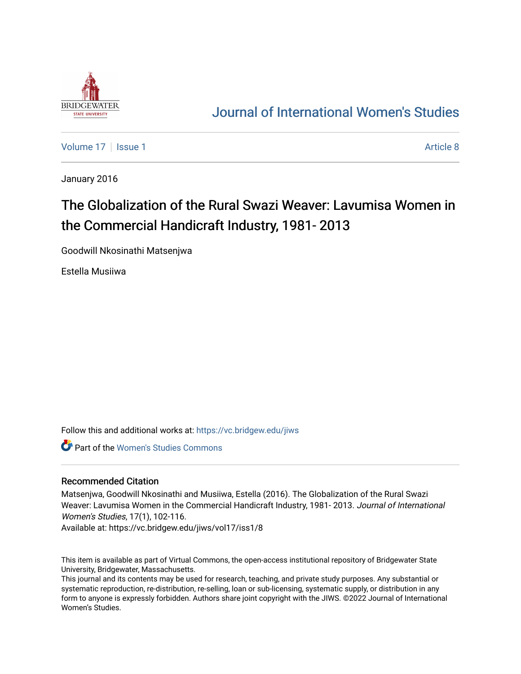

## [Journal of International Women's Studies](https://vc.bridgew.edu/jiws)

[Volume 17](https://vc.bridgew.edu/jiws/vol17) | [Issue 1](https://vc.bridgew.edu/jiws/vol17/iss1) Article 8

January 2016

# The Globalization of the Rural Swazi Weaver: Lavumisa Women in the Commercial Handicraft Industry, 1981- 2013

Goodwill Nkosinathi Matsenjwa

Estella Musiiwa

Follow this and additional works at: [https://vc.bridgew.edu/jiws](https://vc.bridgew.edu/jiws?utm_source=vc.bridgew.edu%2Fjiws%2Fvol17%2Fiss1%2F8&utm_medium=PDF&utm_campaign=PDFCoverPages)

Part of the [Women's Studies Commons](http://network.bepress.com/hgg/discipline/561?utm_source=vc.bridgew.edu%2Fjiws%2Fvol17%2Fiss1%2F8&utm_medium=PDF&utm_campaign=PDFCoverPages) 

#### Recommended Citation

Matsenjwa, Goodwill Nkosinathi and Musiiwa, Estella (2016). The Globalization of the Rural Swazi Weaver: Lavumisa Women in the Commercial Handicraft Industry, 1981- 2013. Journal of International Women's Studies, 17(1), 102-116.

Available at: https://vc.bridgew.edu/jiws/vol17/iss1/8

This item is available as part of Virtual Commons, the open-access institutional repository of Bridgewater State University, Bridgewater, Massachusetts.

This journal and its contents may be used for research, teaching, and private study purposes. Any substantial or systematic reproduction, re-distribution, re-selling, loan or sub-licensing, systematic supply, or distribution in any form to anyone is expressly forbidden. Authors share joint copyright with the JIWS. ©2022 Journal of International Women's Studies.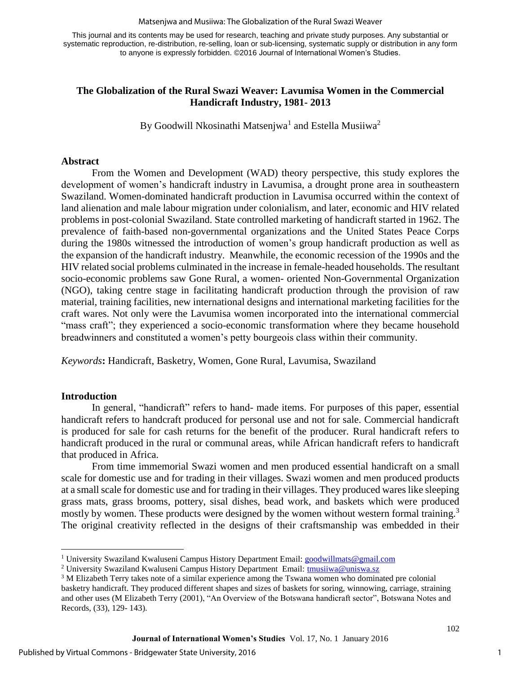#### Matsenjwa and Musiiwa: The Globalization of the Rural Swazi Weaver

This journal and its contents may be used for research, teaching and private study purposes. Any substantial or systematic reproduction, re-distribution, re-selling, loan or sub-licensing, systematic supply or distribution in any form to anyone is expressly forbidden. ©2016 Journal of International Women's Studies.

## **The Globalization of the Rural Swazi Weaver: Lavumisa Women in the Commercial Handicraft Industry, 1981- 2013**

By Goodwill Nkosinathi Matsenjwa<sup>1</sup> and Estella Musiiwa<sup>2</sup>

#### **Abstract**

From the Women and Development (WAD) theory perspective, this study explores the development of women's handicraft industry in Lavumisa, a drought prone area in southeastern Swaziland. Women-dominated handicraft production in Lavumisa occurred within the context of land alienation and male labour migration under colonialism, and later, economic and HIV related problems in post-colonial Swaziland. State controlled marketing of handicraft started in 1962. The prevalence of faith-based non-governmental organizations and the United States Peace Corps during the 1980s witnessed the introduction of women's group handicraft production as well as the expansion of the handicraft industry. Meanwhile, the economic recession of the 1990s and the HIV related social problems culminated in the increase in female-headed households. The resultant socio-economic problems saw Gone Rural, a women- oriented Non-Governmental Organization (NGO), taking centre stage in facilitating handicraft production through the provision of raw material, training facilities, new international designs and international marketing facilities for the craft wares. Not only were the Lavumisa women incorporated into the international commercial "mass craft"; they experienced a socio-economic transformation where they became household breadwinners and constituted a women's petty bourgeois class within their community.

*Keywords***:** Handicraft, Basketry, Women, Gone Rural, Lavumisa, Swaziland

## **Introduction**

l

In general, "handicraft" refers to hand- made items. For purposes of this paper, essential handicraft refers to handcraft produced for personal use and not for sale. Commercial handicraft is produced for sale for cash returns for the benefit of the producer. Rural handicraft refers to handicraft produced in the rural or communal areas, while African handicraft refers to handicraft that produced in Africa.

From time immemorial Swazi women and men produced essential handicraft on a small scale for domestic use and for trading in their villages. Swazi women and men produced products at a small scale for domestic use and for trading in their villages. They produced wares like sleeping grass mats, grass brooms, pottery, sisal dishes, bead work, and baskets which were produced mostly by women. These products were designed by the women without western formal training.<sup>3</sup> The original creativity reflected in the designs of their craftsmanship was embedded in their

<sup>&</sup>lt;sup>1</sup> University Swaziland Kwaluseni Campus History Department Email: [goodwillmats@gmail.com](mailto:goodwillmats@gmail.com)

<sup>&</sup>lt;sup>2</sup> University Swaziland Kwaluseni Campus History Department Email: [tmusiiwa@uniswa.sz](mailto:tmusiiwa@uniswa.sz)

<sup>&</sup>lt;sup>3</sup>M Elizabeth Terry takes note of a similar experience among the Tswana women who dominated pre colonial basketry handicraft. They produced different shapes and sizes of baskets for soring, winnowing, carriage, straining and other uses (M Elizabeth Terry (2001), "An Overview of the Botswana handicraft sector", Botswana Notes and Records, (33), 129- 143).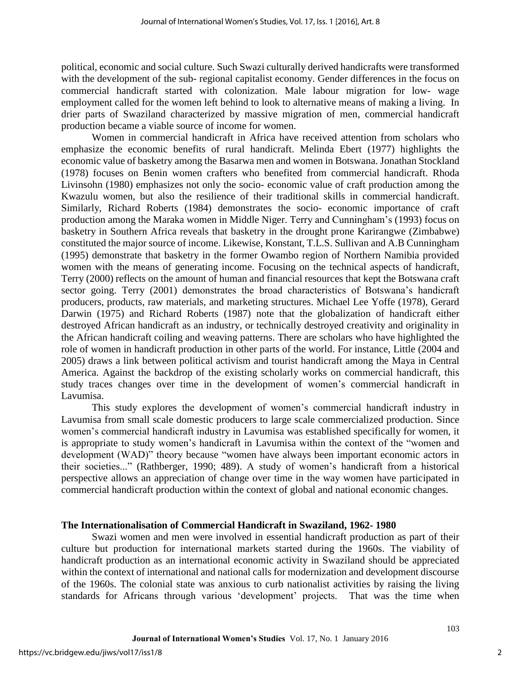political, economic and social culture. Such Swazi culturally derived handicrafts were transformed with the development of the sub- regional capitalist economy. Gender differences in the focus on commercial handicraft started with colonization. Male labour migration for low- wage employment called for the women left behind to look to alternative means of making a living. In drier parts of Swaziland characterized by massive migration of men, commercial handicraft production became a viable source of income for women.

Women in commercial handicraft in Africa have received attention from scholars who emphasize the economic benefits of rural handicraft. Melinda Ebert (1977) highlights the economic value of basketry among the Basarwa men and women in Botswana. Jonathan Stockland (1978) focuses on Benin women crafters who benefited from commercial handicraft. Rhoda Livinsohn (1980) emphasizes not only the socio- economic value of craft production among the Kwazulu women, but also the resilience of their traditional skills in commercial handicraft. Similarly, Richard Roberts (1984) demonstrates the socio- economic importance of craft production among the Maraka women in Middle Niger. Terry and Cunningham's (1993) focus on basketry in Southern Africa reveals that basketry in the drought prone Karirangwe (Zimbabwe) constituted the major source of income. Likewise, Konstant, T.L.S. Sullivan and A.B Cunningham (1995) demonstrate that basketry in the former Owambo region of Northern Namibia provided women with the means of generating income. Focusing on the technical aspects of handicraft, Terry (2000) reflects on the amount of human and financial resources that kept the Botswana craft sector going. Terry (2001) demonstrates the broad characteristics of Botswana's handicraft producers, products, raw materials, and marketing structures. Michael Lee Yoffe (1978), Gerard Darwin (1975) and Richard Roberts (1987) note that the globalization of handicraft either destroyed African handicraft as an industry, or technically destroyed creativity and originality in the African handicraft coiling and weaving patterns. There are scholars who have highlighted the role of women in handicraft production in other parts of the world. For instance, Little (2004 and 2005) draws a link between political activism and tourist handicraft among the Maya in Central America. Against the backdrop of the existing scholarly works on commercial handicraft, this study traces changes over time in the development of women's commercial handicraft in Lavumisa.

This study explores the development of women's commercial handicraft industry in Lavumisa from small scale domestic producers to large scale commercialized production. Since women's commercial handicraft industry in Lavumisa was established specifically for women, it is appropriate to study women's handicraft in Lavumisa within the context of the "women and development (WAD)" theory because "women have always been important economic actors in their societies..." (Rathberger, 1990; 489). A study of women's handicraft from a historical perspective allows an appreciation of change over time in the way women have participated in commercial handicraft production within the context of global and national economic changes.

## **The Internationalisation of Commercial Handicraft in Swaziland, 1962- 1980**

Swazi women and men were involved in essential handicraft production as part of their culture but production for international markets started during the 1960s. The viability of handicraft production as an international economic activity in Swaziland should be appreciated within the context of international and national calls for modernization and development discourse of the 1960s. The colonial state was anxious to curb nationalist activities by raising the living standards for Africans through various 'development' projects. That was the time when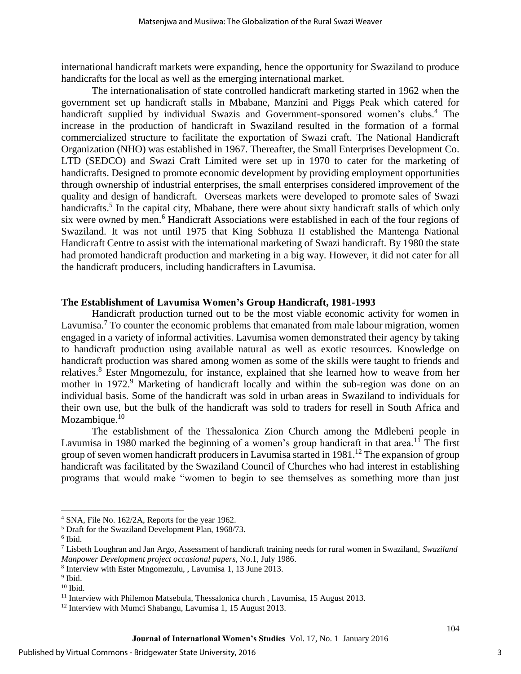international handicraft markets were expanding, hence the opportunity for Swaziland to produce handicrafts for the local as well as the emerging international market.

The internationalisation of state controlled handicraft marketing started in 1962 when the government set up handicraft stalls in Mbabane, Manzini and Piggs Peak which catered for handicraft supplied by individual Swazis and Government-sponsored women's clubs.<sup>4</sup> The increase in the production of handicraft in Swaziland resulted in the formation of a formal commercialized structure to facilitate the exportation of Swazi craft. The National Handicraft Organization (NHO) was established in 1967. Thereafter, the Small Enterprises Development Co. LTD (SEDCO) and Swazi Craft Limited were set up in 1970 to cater for the marketing of handicrafts. Designed to promote economic development by providing employment opportunities through ownership of industrial enterprises, the small enterprises considered improvement of the quality and design of handicraft. Overseas markets were developed to promote sales of Swazi handicrafts.<sup>5</sup> In the capital city, Mbabane, there were about sixty handicraft stalls of which only six were owned by men.<sup>6</sup> Handicraft Associations were established in each of the four regions of Swaziland. It was not until 1975 that King Sobhuza II established the Mantenga National Handicraft Centre to assist with the international marketing of Swazi handicraft. By 1980 the state had promoted handicraft production and marketing in a big way. However, it did not cater for all the handicraft producers, including handicrafters in Lavumisa.

#### **The Establishment of Lavumisa Women's Group Handicraft, 1981-1993**

Handicraft production turned out to be the most viable economic activity for women in Lavumisa.<sup>7</sup> To counter the economic problems that emanated from male labour migration, women engaged in a variety of informal activities. Lavumisa women demonstrated their agency by taking to handicraft production using available natural as well as exotic resources. Knowledge on handicraft production was shared among women as some of the skills were taught to friends and relatives.<sup>8</sup> Ester Mngomezulu, for instance, explained that she learned how to weave from her mother in 1972.<sup>9</sup> Marketing of handicraft locally and within the sub-region was done on an individual basis. Some of the handicraft was sold in urban areas in Swaziland to individuals for their own use, but the bulk of the handicraft was sold to traders for resell in South Africa and Mozambique.<sup>10</sup>

The establishment of the Thessalonica Zion Church among the Mdlebeni people in Lavumisa in 1980 marked the beginning of a women's group handicraft in that area.<sup>11</sup> The first group of seven women handicraft producers in Lavumisa started in 1981.<sup>12</sup> The expansion of group handicraft was facilitated by the Swaziland Council of Churches who had interest in establishing programs that would make "women to begin to see themselves as something more than just

 $\overline{\phantom{a}}$ 

<sup>&</sup>lt;sup>4</sup> SNA, File No. 162/2A, Reports for the year 1962.

<sup>&</sup>lt;sup>5</sup> Draft for the Swaziland Development Plan, 1968/73.

<sup>6</sup> Ibid.

<sup>7</sup> Lisbeth Loughran and Jan Argo, Assessment of handicraft training needs for rural women in Swaziland, *Swaziland Manpower Development project occasional papers,* No.1, July 1986.

<sup>8</sup> Interview with Ester Mngomezulu, , Lavumisa 1, 13 June 2013.

<sup>&</sup>lt;sup>9</sup> Ibid.

 $10$  Ibid.

<sup>&</sup>lt;sup>11</sup> Interview with Philemon Matsebula, Thessalonica church, Lavumisa, 15 August 2013.

<sup>&</sup>lt;sup>12</sup> Interview with Mumci Shabangu, Lavumisa 1, 15 August 2013.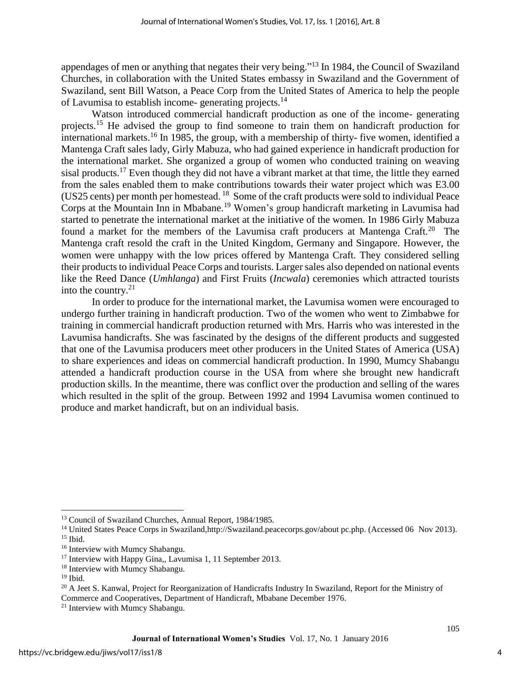appendages of men or anything that negates their very being."<sup>13</sup> In 1984, the Council of Swaziland Churches, in collaboration with the United States embassy in Swaziland and the Government of Swaziland, sent Bill Watson, a Peace Corp from the United States of America to help the people of Lavumisa to establish income- generating projects.<sup>14</sup>

Watson introduced commercial handicraft production as one of the income- generating projects.<sup>15</sup> He advised the group to find someone to train them on handicraft production for international markets.<sup>16</sup> In 1985, the group, with a membership of thirty- five women, identified a Mantenga Craft sales lady, Girly Mabuza, who had gained experience in handicraft production for the international market. She organized a group of women who conducted training on weaving sisal products.<sup>17</sup> Even though they did not have a vibrant market at that time, the little they earned from the sales enabled them to make contributions towards their water project which was E3.00 (US25 cents) per month per homestead.  $^{18}$  Some of the craft products were sold to individual Peace Corps at the Mountain Inn in Mbabane.<sup>19</sup> Women's group handicraft marketing in Lavumisa had started to penetrate the international market at the initiative of the women. In 1986 Girly Mabuza found a market for the members of the Lavumisa craft producers at Mantenga Craft.<sup>20</sup> The Mantenga craft resold the craft in the United Kingdom, Germany and Singapore. However, the women were unhappy with the low prices offered by Mantenga Craft. They considered selling their products to individual Peace Corps and tourists. Larger sales also depended on national events like the Reed Dance (*Umhlanga*) and First Fruits (*Incwala*) ceremonies which attracted tourists into the country. $21$ 

In order to produce for the international market, the Lavumisa women were encouraged to undergo further training in handicraft production. Two of the women who went to Zimbabwe for training in commercial handicraft production returned with Mrs. Harris who was interested in the Lavumisa handicrafts. She was fascinated by the designs of the different products and suggested that one of the Lavumisa producers meet other producers in the United States of America (USA) to share experiences and ideas on commercial handicraft production. In 1990, Mumcy Shabangu attended a handicraft production course in the USA from where she brought new handicraft production skills. In the meantime, there was conflict over the production and selling of the wares which resulted in the split of the group. Between 1992 and 1994 Lavumisa women continued to produce and market handicraft, but on an individual basis.

 $\overline{\phantom{a}}$ 

<sup>&</sup>lt;sup>13</sup> Council of Swaziland Churches, Annual Report, 1984/1985.

<sup>&</sup>lt;sup>14</sup> United States Peace Corps in Swaziland,http://Swaziland.peacecorps.gov/about pc.php. (Accessed 06 Nov 2013).  $15$  Ibid.

<sup>&</sup>lt;sup>16</sup> Interview with Mumcy Shabangu.

<sup>&</sup>lt;sup>17</sup> Interview with Happy Gina,, Lavumisa 1, 11 September 2013.

<sup>&</sup>lt;sup>18</sup> Interview with Mumcy Shabangu.

 $19$  Ibid.

<sup>&</sup>lt;sup>20</sup> A Jeet S. Kanwal, Project for Reorganization of Handicrafts Industry In Swaziland, Report for the Ministry of Commerce and Cooperatives, Department of Handicraft, Mbabane December 1976.

<sup>&</sup>lt;sup>21</sup> Interview with Mumcy Shabangu.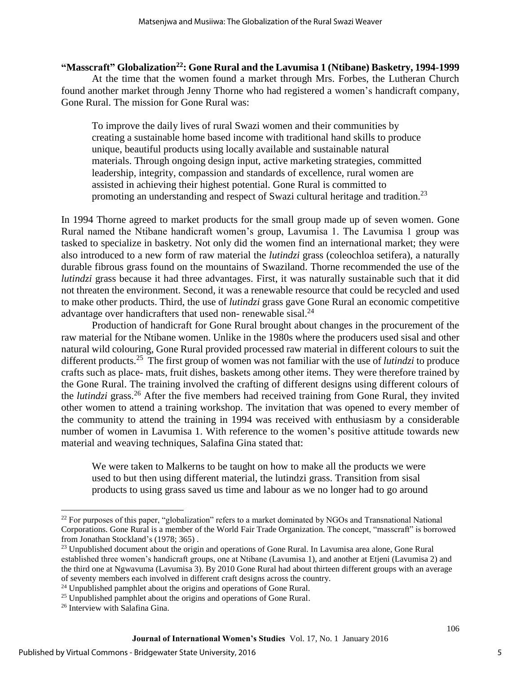## **"Masscraft" Globalization<sup>22</sup>: Gone Rural and the Lavumisa 1 (Ntibane) Basketry, 1994-1999**

At the time that the women found a market through Mrs. Forbes, the Lutheran Church found another market through Jenny Thorne who had registered a women's handicraft company, Gone Rural. The mission for Gone Rural was:

To improve the daily lives of rural Swazi women and their communities by creating a sustainable home based income with traditional hand skills to produce unique, beautiful products using locally available and sustainable natural materials. Through ongoing design input, active marketing strategies, committed leadership, integrity, compassion and standards of excellence, rural women are assisted in achieving their highest potential. Gone Rural is committed to promoting an understanding and respect of Swazi cultural heritage and tradition.<sup>23</sup>

In 1994 Thorne agreed to market products for the small group made up of seven women. Gone Rural named the Ntibane handicraft women's group, Lavumisa 1. The Lavumisa 1 group was tasked to specialize in basketry. Not only did the women find an international market; they were also introduced to a new form of raw material the *lutindzi* grass (coleochloa setifera), a naturally durable fibrous grass found on the mountains of Swaziland. Thorne recommended the use of the *lutindzi* grass because it had three advantages. First, it was naturally sustainable such that it did not threaten the environment. Second, it was a renewable resource that could be recycled and used to make other products. Third, the use of *lutindzi* grass gave Gone Rural an economic competitive advantage over handicrafters that used non- renewable sisal.<sup>24</sup>

Production of handicraft for Gone Rural brought about changes in the procurement of the raw material for the Ntibane women. Unlike in the 1980s where the producers used sisal and other natural wild colouring, Gone Rural provided processed raw material in different colours to suit the different products.<sup>25</sup> The first group of women was not familiar with the use of *lutindzi* to produce crafts such as place- mats, fruit dishes, baskets among other items. They were therefore trained by the Gone Rural. The training involved the crafting of different designs using different colours of the *lutindzi* grass.<sup>26</sup> After the five members had received training from Gone Rural, they invited other women to attend a training workshop. The invitation that was opened to every member of the community to attend the training in 1994 was received with enthusiasm by a considerable number of women in Lavumisa 1. With reference to the women's positive attitude towards new material and weaving techniques, Salafina Gina stated that:

We were taken to Malkerns to be taught on how to make all the products we were used to but then using different material, the lutindzi grass. Transition from sisal products to using grass saved us time and labour as we no longer had to go around

 $\overline{\phantom{a}}$ 

<sup>&</sup>lt;sup>22</sup> For purposes of this paper, "globalization" refers to a market dominated by NGOs and Transnational National Corporations. Gone Rural is a member of the World Fair Trade Organization. The concept, "masscraft" is borrowed from Jonathan Stockland's (1978; 365) .

<sup>&</sup>lt;sup>23</sup> Unpublished document about the origin and operations of Gone Rural. In Lavumisa area alone, Gone Rural established three women's handicraft groups, one at Ntibane (Lavumisa 1), and another at Etjeni (Lavumisa 2) and the third one at Ngwavuma (Lavumisa 3). By 2010 Gone Rural had about thirteen different groups with an average of seventy members each involved in different craft designs across the country.

<sup>&</sup>lt;sup>24</sup> Unpublished pamphlet about the origins and operations of Gone Rural.

<sup>&</sup>lt;sup>25</sup> Unpublished pamphlet about the origins and operations of Gone Rural.

<sup>&</sup>lt;sup>26</sup> Interview with Salafina Gina.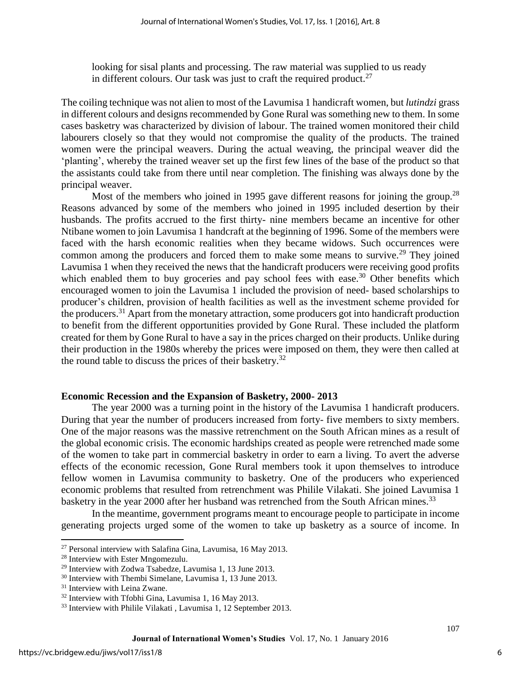looking for sisal plants and processing. The raw material was supplied to us ready in different colours. Our task was just to craft the required product.<sup>27</sup>

The coiling technique was not alien to most of the Lavumisa 1 handicraft women, but *lutindzi* grass in different colours and designs recommended by Gone Rural was something new to them. In some cases basketry was characterized by division of labour. The trained women monitored their child labourers closely so that they would not compromise the quality of the products. The trained women were the principal weavers. During the actual weaving, the principal weaver did the 'planting', whereby the trained weaver set up the first few lines of the base of the product so that the assistants could take from there until near completion. The finishing was always done by the principal weaver.

Most of the members who joined in 1995 gave different reasons for joining the group.<sup>28</sup> Reasons advanced by some of the members who joined in 1995 included desertion by their husbands. The profits accrued to the first thirty- nine members became an incentive for other Ntibane women to join Lavumisa 1 handcraft at the beginning of 1996. Some of the members were faced with the harsh economic realities when they became widows. Such occurrences were common among the producers and forced them to make some means to survive.<sup>29</sup> They joined Lavumisa 1 when they received the news that the handicraft producers were receiving good profits which enabled them to buy groceries and pay school fees with ease. $30$  Other benefits which encouraged women to join the Lavumisa 1 included the provision of need- based scholarships to producer's children, provision of health facilities as well as the investment scheme provided for the producers.<sup>31</sup> Apart from the monetary attraction, some producers got into handicraft production to benefit from the different opportunities provided by Gone Rural. These included the platform created for them by Gone Rural to have a say in the prices charged on their products. Unlike during their production in the 1980s whereby the prices were imposed on them, they were then called at the round table to discuss the prices of their basketry.<sup>32</sup>

#### **Economic Recession and the Expansion of Basketry, 2000- 2013**

The year 2000 was a turning point in the history of the Lavumisa 1 handicraft producers. During that year the number of producers increased from forty- five members to sixty members. One of the major reasons was the massive retrenchment on the South African mines as a result of the global economic crisis. The economic hardships created as people were retrenched made some of the women to take part in commercial basketry in order to earn a living. To avert the adverse effects of the economic recession, Gone Rural members took it upon themselves to introduce fellow women in Lavumisa community to basketry. One of the producers who experienced economic problems that resulted from retrenchment was Philile Vilakati. She joined Lavumisa 1 basketry in the year 2000 after her husband was retrenched from the South African mines.<sup>33</sup>

In the meantime, government programs meant to encourage people to participate in income generating projects urged some of the women to take up basketry as a source of income. In

 $\overline{\phantom{a}}$ 

<sup>27</sup> Personal interview with Salafina Gina, Lavumisa, 16 May 2013.

<sup>28</sup> Interview with Ester Mngomezulu.

<sup>29</sup> Interview with Zodwa Tsabedze, Lavumisa 1, 13 June 2013.

<sup>30</sup> Interview with Thembi Simelane, Lavumisa 1, 13 June 2013.

<sup>&</sup>lt;sup>31</sup> Interview with Leina Zwane.

<sup>32</sup> Interview with Tfobhi Gina, Lavumisa 1, 16 May 2013.

<sup>&</sup>lt;sup>33</sup> Interview with Philile Vilakati, Lavumisa 1, 12 September 2013.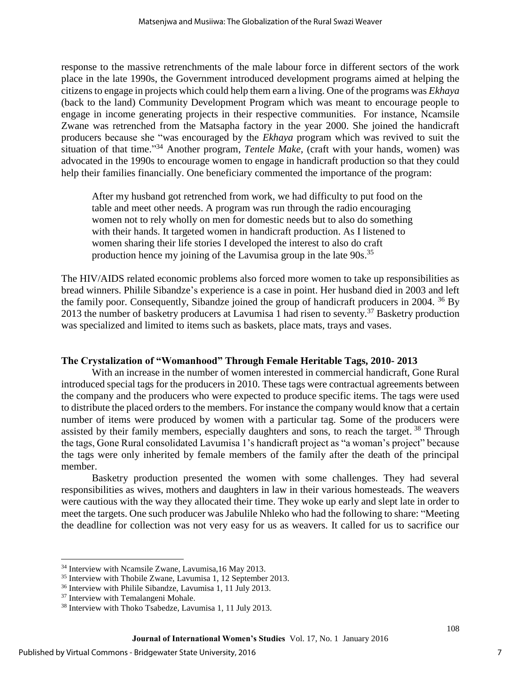response to the massive retrenchments of the male labour force in different sectors of the work place in the late 1990s, the Government introduced development programs aimed at helping the citizens to engage in projects which could help them earn a living. One of the programs was *Ekhaya* (back to the land) Community Development Program which was meant to encourage people to engage in income generating projects in their respective communities. For instance, Ncamsile Zwane was retrenched from the Matsapha factory in the year 2000. She joined the handicraft producers because she "was encouraged by the *Ekhaya* program which was revived to suit the situation of that time."<sup>34</sup> Another program, *Tentele Make*, (craft with your hands, women) was advocated in the 1990s to encourage women to engage in handicraft production so that they could help their families financially. One beneficiary commented the importance of the program:

After my husband got retrenched from work, we had difficulty to put food on the table and meet other needs. A program was run through the radio encouraging women not to rely wholly on men for domestic needs but to also do something with their hands. It targeted women in handicraft production. As I listened to women sharing their life stories I developed the interest to also do craft production hence my joining of the Lavumisa group in the late  $90s$ <sup>35</sup>

The HIV/AIDS related economic problems also forced more women to take up responsibilities as bread winners. Philile Sibandze's experience is a case in point. Her husband died in 2003 and left the family poor. Consequently, Sibandze joined the group of handicraft producers in 2004. <sup>36</sup> By 2013 the number of basketry producers at Lavumisa 1 had risen to seventy.<sup>37</sup> Basketry production was specialized and limited to items such as baskets, place mats, trays and vases.

## **The Crystalization of "Womanhood" Through Female Heritable Tags, 2010- 2013**

With an increase in the number of women interested in commercial handicraft, Gone Rural introduced special tags for the producers in 2010. These tags were contractual agreements between the company and the producers who were expected to produce specific items. The tags were used to distribute the placed orders to the members. For instance the company would know that a certain number of items were produced by women with a particular tag. Some of the producers were assisted by their family members, especially daughters and sons, to reach the target.<sup>38</sup> Through the tags, Gone Rural consolidated Lavumisa 1's handicraft project as "a woman's project" because the tags were only inherited by female members of the family after the death of the principal member.

Basketry production presented the women with some challenges. They had several responsibilities as wives, mothers and daughters in law in their various homesteads. The weavers were cautious with the way they allocated their time. They woke up early and slept late in order to meet the targets. One such producer was Jabulile Nhleko who had the following to share: "Meeting the deadline for collection was not very easy for us as weavers. It called for us to sacrifice our

 $\overline{a}$ 

<sup>34</sup> Interview with Ncamsile Zwane, Lavumisa,16 May 2013.

<sup>35</sup> Interview with Thobile Zwane, Lavumisa 1, 12 September 2013.

<sup>&</sup>lt;sup>36</sup> Interview with Philile Sibandze, Lavumisa 1, 11 July 2013.

<sup>37</sup> Interview with Temalangeni Mohale.

<sup>38</sup> Interview with Thoko Tsabedze, Lavumisa 1, 11 July 2013.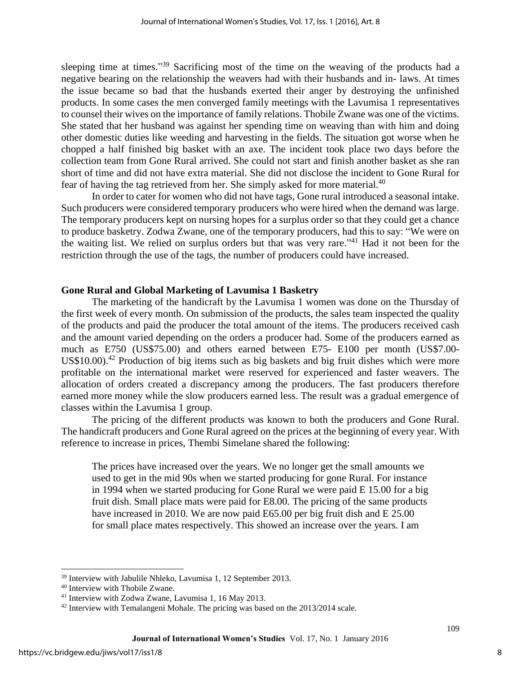sleeping time at times."<sup>39</sup> Sacrificing most of the time on the weaving of the products had a negative bearing on the relationship the weavers had with their husbands and in- laws. At times the issue became so bad that the husbands exerted their anger by destroying the unfinished products. In some cases the men converged family meetings with the Lavumisa 1 representatives to counsel their wives on the importance of family relations. Thobile Zwane was one of the victims. She stated that her husband was against her spending time on weaving than with him and doing other domestic duties like weeding and harvesting in the fields. The situation got worse when he chopped a half finished big basket with an axe. The incident took place two days before the collection team from Gone Rural arrived. She could not start and finish another basket as she ran short of time and did not have extra material. She did not disclose the incident to Gone Rural for fear of having the tag retrieved from her. She simply asked for more material.<sup>40</sup>

In order to cater for women who did not have tags, Gone rural introduced a seasonal intake. Such producers were considered temporary producers who were hired when the demand was large. The temporary producers kept on nursing hopes for a surplus order so that they could get a chance to produce basketry. Zodwa Zwane, one of the temporary producers, had this to say: "We were on the waiting list. We relied on surplus orders but that was very rare."<sup>41</sup> Had it not been for the restriction through the use of the tags, the number of producers could have increased.

#### **Gone Rural and Global Marketing of Lavumisa 1 Basketry**

The marketing of the handicraft by the Lavumisa 1 women was done on the Thursday of the first week of every month. On submission of the products, the sales team inspected the quality of the products and paid the producer the total amount of the items. The producers received cash and the amount varied depending on the orders a producer had. Some of the producers earned as much as E750 (US\$75.00) and others earned between E75- E100 per month (US\$7.00- US\$10.00).<sup>42</sup> Production of big items such as big baskets and big fruit dishes which were more profitable on the international market were reserved for experienced and faster weavers. The allocation of orders created a discrepancy among the producers. The fast producers therefore earned more money while the slow producers earned less. The result was a gradual emergence of classes within the Lavumisa 1 group.

The pricing of the different products was known to both the producers and Gone Rural. The handicraft producers and Gone Rural agreed on the prices at the beginning of every year. With reference to increase in prices, Thembi Simelane shared the following:

The prices have increased over the years. We no longer get the small amounts we used to get in the mid 90s when we started producing for gone Rural. For instance in 1994 when we started producing for Gone Rural we were paid E 15.00 for a big fruit dish. Small place mats were paid for E8.00. The pricing of the same products have increased in 2010. We are now paid E65.00 per big fruit dish and E 25.00 for small place mates respectively. This showed an increase over the years. I am

 $\overline{\phantom{a}}$ 

<sup>39</sup> Interview with Jabulile Nhleko, Lavumisa 1, 12 September 2013.

<sup>40</sup> Interview with Thobile Zwane.

<sup>41</sup> Interview with Zodwa Zwane, Lavumisa 1, 16 May 2013.

<sup>&</sup>lt;sup>42</sup> Interview with Temalangeni Mohale. The pricing was based on the 2013/2014 scale.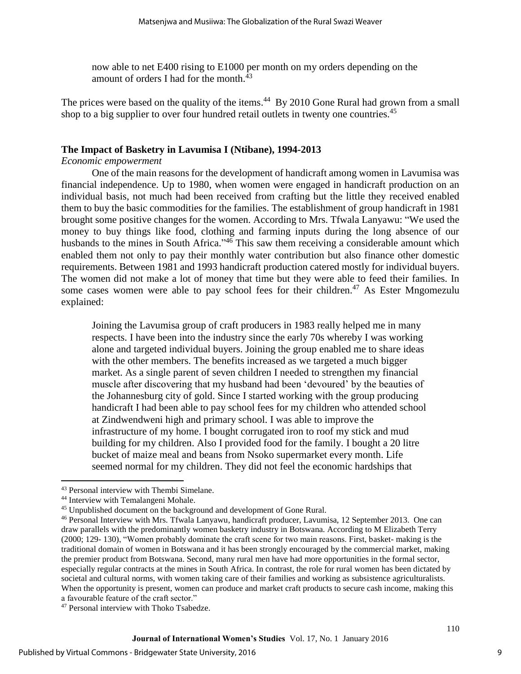now able to net E400 rising to E1000 per month on my orders depending on the amount of orders I had for the month.<sup>43</sup>

The prices were based on the quality of the items.<sup>44</sup> By 2010 Gone Rural had grown from a small shop to a big supplier to over four hundred retail outlets in twenty one countries.<sup>45</sup>

### **The Impact of Basketry in Lavumisa I (Ntibane), 1994-2013**

#### *Economic empowerment*

One of the main reasons for the development of handicraft among women in Lavumisa was financial independence. Up to 1980, when women were engaged in handicraft production on an individual basis, not much had been received from crafting but the little they received enabled them to buy the basic commodities for the families. The establishment of group handicraft in 1981 brought some positive changes for the women. According to Mrs. Tfwala Lanyawu: "We used the money to buy things like food, clothing and farming inputs during the long absence of our husbands to the mines in South Africa."<sup>46</sup> This saw them receiving a considerable amount which enabled them not only to pay their monthly water contribution but also finance other domestic requirements. Between 1981 and 1993 handicraft production catered mostly for individual buyers. The women did not make a lot of money that time but they were able to feed their families. In some cases women were able to pay school fees for their children.<sup>47</sup> As Ester Mngomezulu explained:

Joining the Lavumisa group of craft producers in 1983 really helped me in many respects. I have been into the industry since the early 70s whereby I was working alone and targeted individual buyers. Joining the group enabled me to share ideas with the other members. The benefits increased as we targeted a much bigger market. As a single parent of seven children I needed to strengthen my financial muscle after discovering that my husband had been 'devoured' by the beauties of the Johannesburg city of gold. Since I started working with the group producing handicraft I had been able to pay school fees for my children who attended school at Zindwendweni high and primary school. I was able to improve the infrastructure of my home. I bought corrugated iron to roof my stick and mud building for my children. Also I provided food for the family. I bought a 20 litre bucket of maize meal and beans from Nsoko supermarket every month. Life seemed normal for my children. They did not feel the economic hardships that

 $\overline{\phantom{a}}$ 

<sup>43</sup> Personal interview with Thembi Simelane.

<sup>44</sup> Interview with Temalangeni Mohale.

<sup>45</sup> Unpublished document on the background and development of Gone Rural.

<sup>46</sup> Personal Interview with Mrs. Tfwala Lanyawu, handicraft producer, Lavumisa, 12 September 2013. One can draw parallels with the predominantly women basketry industry in Botswana. According to M Elizabeth Terry (2000; 129- 130), "Women probably dominate the craft scene for two main reasons. First, basket- making is the traditional domain of women in Botswana and it has been strongly encouraged by the commercial market, making the premier product from Botswana. Second, many rural men have had more opportunities in the formal sector, especially regular contracts at the mines in South Africa. In contrast, the role for rural women has been dictated by societal and cultural norms, with women taking care of their families and working as subsistence agriculturalists. When the opportunity is present, women can produce and market craft products to secure cash income, making this a favourable feature of the craft sector."

<sup>47</sup> Personal interview with Thoko Tsabedze.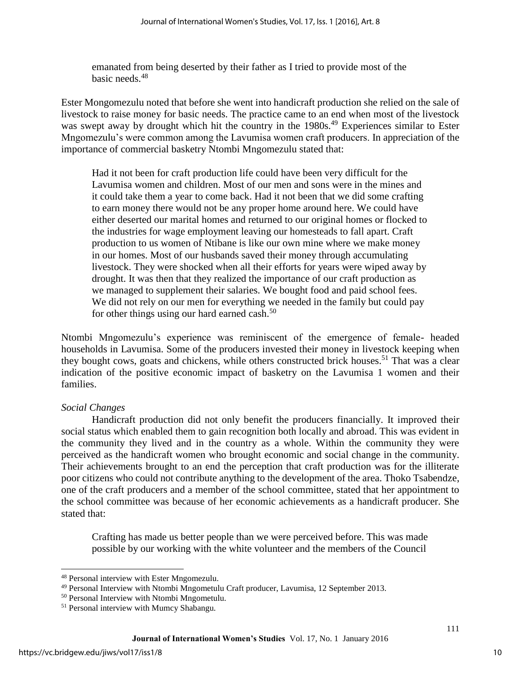emanated from being deserted by their father as I tried to provide most of the basic needs.<sup>48</sup>

Ester Mongomezulu noted that before she went into handicraft production she relied on the sale of livestock to raise money for basic needs. The practice came to an end when most of the livestock was swept away by drought which hit the country in the 1980s.<sup>49</sup> Experiences similar to Ester Mngomezulu's were common among the Lavumisa women craft producers. In appreciation of the importance of commercial basketry Ntombi Mngomezulu stated that:

Had it not been for craft production life could have been very difficult for the Lavumisa women and children. Most of our men and sons were in the mines and it could take them a year to come back. Had it not been that we did some crafting to earn money there would not be any proper home around here. We could have either deserted our marital homes and returned to our original homes or flocked to the industries for wage employment leaving our homesteads to fall apart. Craft production to us women of Ntibane is like our own mine where we make money in our homes. Most of our husbands saved their money through accumulating livestock. They were shocked when all their efforts for years were wiped away by drought. It was then that they realized the importance of our craft production as we managed to supplement their salaries. We bought food and paid school fees. We did not rely on our men for everything we needed in the family but could pay for other things using our hard earned cash. $50$ 

Ntombi Mngomezulu's experience was reminiscent of the emergence of female- headed households in Lavumisa. Some of the producers invested their money in livestock keeping when they bought cows, goats and chickens, while others constructed brick houses.<sup>51</sup> That was a clear indication of the positive economic impact of basketry on the Lavumisa 1 women and their families.

## *Social Changes*

Handicraft production did not only benefit the producers financially. It improved their social status which enabled them to gain recognition both locally and abroad. This was evident in the community they lived and in the country as a whole. Within the community they were perceived as the handicraft women who brought economic and social change in the community. Their achievements brought to an end the perception that craft production was for the illiterate poor citizens who could not contribute anything to the development of the area. Thoko Tsabendze, one of the craft producers and a member of the school committee, stated that her appointment to the school committee was because of her economic achievements as a handicraft producer. She stated that:

Crafting has made us better people than we were perceived before. This was made possible by our working with the white volunteer and the members of the Council

 $\overline{\phantom{a}}$ 

<sup>48</sup> Personal interview with Ester Mngomezulu.

<sup>49</sup> Personal Interview with Ntombi Mngometulu Craft producer, Lavumisa, 12 September 2013.

<sup>50</sup> Personal Interview with Ntombi Mngometulu.

<sup>51</sup> Personal interview with Mumcy Shabangu.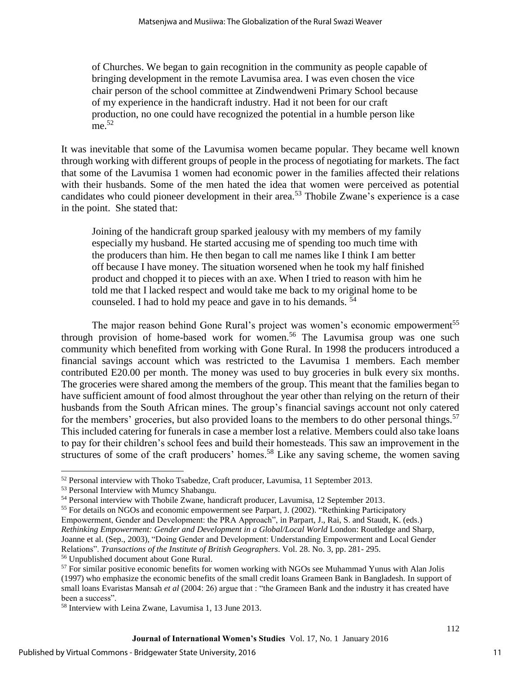of Churches. We began to gain recognition in the community as people capable of bringing development in the remote Lavumisa area. I was even chosen the vice chair person of the school committee at Zindwendweni Primary School because of my experience in the handicraft industry. Had it not been for our craft production, no one could have recognized the potential in a humble person like me.<sup>52</sup>

It was inevitable that some of the Lavumisa women became popular. They became well known through working with different groups of people in the process of negotiating for markets. The fact that some of the Lavumisa 1 women had economic power in the families affected their relations with their husbands. Some of the men hated the idea that women were perceived as potential candidates who could pioneer development in their area.<sup>53</sup> Thobile Zwane's experience is a case in the point. She stated that:

Joining of the handicraft group sparked jealousy with my members of my family especially my husband. He started accusing me of spending too much time with the producers than him. He then began to call me names like I think I am better off because I have money. The situation worsened when he took my half finished product and chopped it to pieces with an axe. When I tried to reason with him he told me that I lacked respect and would take me back to my original home to be counseled. I had to hold my peace and gave in to his demands. <sup>54</sup>

The major reason behind Gone Rural's project was women's economic empowerment<sup>55</sup> through provision of home-based work for women.<sup>56</sup> The Lavumisa group was one such community which benefited from working with Gone Rural. In 1998 the producers introduced a financial savings account which was restricted to the Lavumisa 1 members. Each member contributed E20.00 per month. The money was used to buy groceries in bulk every six months. The groceries were shared among the members of the group. This meant that the families began to have sufficient amount of food almost throughout the year other than relying on the return of their husbands from the South African mines. The group's financial savings account not only catered for the members' groceries, but also provided loans to the members to do other personal things.<sup>57</sup> This included catering for funerals in case a member lost a relative. Members could also take loans to pay for their children's school fees and build their homesteads. This saw an improvement in the structures of some of the craft producers' homes.<sup>58</sup> Like any saving scheme, the women saving

 $\overline{a}$ <sup>52</sup> Personal interview with Thoko Tsabedze, Craft producer, Lavumisa, 11 September 2013.

<sup>53</sup> Personal Interview with Mumcy Shabangu.

<sup>54</sup> Personal interview with Thobile Zwane, handicraft producer, Lavumisa, 12 September 2013.

<sup>55</sup> For details on NGOs and economic empowerment see Parpart, J. (2002). "Rethinking Participatory Empowerment, Gender and Development: the PRA Approach", in Parpart, J., Rai, S. and Staudt, K. (eds.) *Rethinking Empowerment: Gender and Development in a Global/Local World* London: Routledge and Sharp, Joanne et al. (Sep., 2003), "Doing Gender and Development: Understanding Empowerment and Local Gender Relations". *Transactions of the Institute of British Geographers*. Vol. 28. No. 3, pp. 281- 295.

<sup>56</sup> Unpublished document about Gone Rural.

<sup>57</sup> For similar positive economic benefits for women working with NGOs see Muhammad Yunus with Alan Jolis (1997) who emphasize the economic benefits of the small credit loans Grameen Bank in Bangladesh. In support of small loans Evaristas Mansah *et al* (2004: 26) argue that : "the Grameen Bank and the industry it has created have been a success".

<sup>58</sup> Interview with Leina Zwane, Lavumisa 1, 13 June 2013.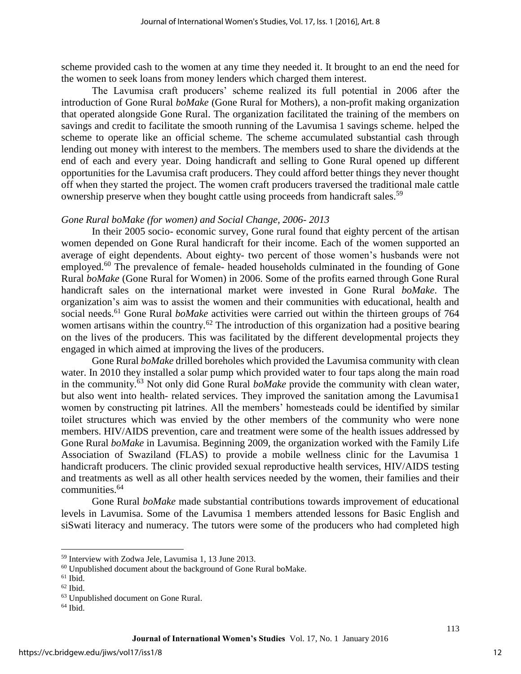scheme provided cash to the women at any time they needed it. It brought to an end the need for the women to seek loans from money lenders which charged them interest.

The Lavumisa craft producers' scheme realized its full potential in 2006 after the introduction of Gone Rural *boMake* (Gone Rural for Mothers), a non-profit making organization that operated alongside Gone Rural. The organization facilitated the training of the members on savings and credit to facilitate the smooth running of the Lavumisa 1 savings scheme. helped the scheme to operate like an official scheme. The scheme accumulated substantial cash through lending out money with interest to the members. The members used to share the dividends at the end of each and every year. Doing handicraft and selling to Gone Rural opened up different opportunities for the Lavumisa craft producers. They could afford better things they never thought off when they started the project. The women craft producers traversed the traditional male cattle ownership preserve when they bought cattle using proceeds from handicraft sales.<sup>59</sup>

#### *Gone Rural boMake (for women) and Social Change, 2006- 2013*

In their 2005 socio- economic survey, Gone rural found that eighty percent of the artisan women depended on Gone Rural handicraft for their income. Each of the women supported an average of eight dependents. About eighty- two percent of those women's husbands were not employed.<sup>60</sup> The prevalence of female- headed households culminated in the founding of Gone Rural *boMake* (Gone Rural for Women) in 2006. Some of the profits earned through Gone Rural handicraft sales on the international market were invested in Gone Rural *boMake*. The organization's aim was to assist the women and their communities with educational, health and social needs.<sup>61</sup> Gone Rural *boMake* activities were carried out within the thirteen groups of 764 women artisans within the country.<sup>62</sup> The introduction of this organization had a positive bearing on the lives of the producers. This was facilitated by the different developmental projects they engaged in which aimed at improving the lives of the producers.

Gone Rural *boMake* drilled boreholes which provided the Lavumisa community with clean water. In 2010 they installed a solar pump which provided water to four taps along the main road in the community.<sup>63</sup> Not only did Gone Rural *boMake* provide the community with clean water, but also went into health- related services. They improved the sanitation among the Lavumisa1 women by constructing pit latrines. All the members' homesteads could be identified by similar toilet structures which was envied by the other members of the community who were none members. HIV/AIDS prevention, care and treatment were some of the health issues addressed by Gone Rural *boMake* in Lavumisa. Beginning 2009, the organization worked with the Family Life Association of Swaziland (FLAS) to provide a mobile wellness clinic for the Lavumisa 1 handicraft producers. The clinic provided sexual reproductive health services, HIV/AIDS testing and treatments as well as all other health services needed by the women, their families and their communities.<sup>64</sup>

Gone Rural *boMake* made substantial contributions towards improvement of educational levels in Lavumisa. Some of the Lavumisa 1 members attended lessons for Basic English and siSwati literacy and numeracy. The tutors were some of the producers who had completed high

l

<sup>59</sup> Interview with Zodwa Jele, Lavumisa 1, 13 June 2013.

 $60$  Unpublished document about the background of Gone Rural boMake.

 $61$  Ibid.

 $62$  Ibid.

<sup>63</sup> Unpublished document on Gone Rural.

 $64$  Ibid.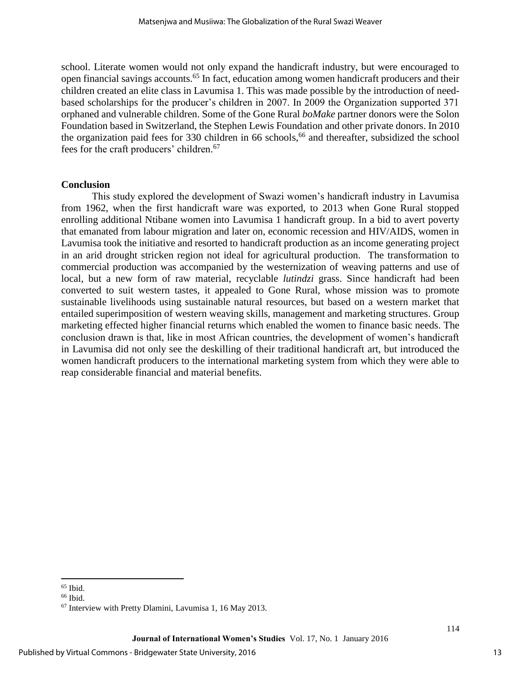school. Literate women would not only expand the handicraft industry, but were encouraged to open financial savings accounts.<sup>65</sup> In fact, education among women handicraft producers and their children created an elite class in Lavumisa 1. This was made possible by the introduction of needbased scholarships for the producer's children in 2007. In 2009 the Organization supported 371 orphaned and vulnerable children. Some of the Gone Rural *boMake* partner donors were the Solon Foundation based in Switzerland, the Stephen Lewis Foundation and other private donors. In 2010 the organization paid fees for  $330$  children in 66 schools,<sup>66</sup> and thereafter, subsidized the school fees for the craft producers' children.<sup>67</sup>

#### **Conclusion**

This study explored the development of Swazi women's handicraft industry in Lavumisa from 1962, when the first handicraft ware was exported, to 2013 when Gone Rural stopped enrolling additional Ntibane women into Lavumisa 1 handicraft group. In a bid to avert poverty that emanated from labour migration and later on, economic recession and HIV/AIDS, women in Lavumisa took the initiative and resorted to handicraft production as an income generating project in an arid drought stricken region not ideal for agricultural production. The transformation to commercial production was accompanied by the westernization of weaving patterns and use of local, but a new form of raw material, recyclable *lutindzi* grass. Since handicraft had been converted to suit western tastes, it appealed to Gone Rural, whose mission was to promote sustainable livelihoods using sustainable natural resources, but based on a western market that entailed superimposition of western weaving skills, management and marketing structures. Group marketing effected higher financial returns which enabled the women to finance basic needs. The conclusion drawn is that, like in most African countries, the development of women's handicraft in Lavumisa did not only see the deskilling of their traditional handicraft art, but introduced the women handicraft producers to the international marketing system from which they were able to reap considerable financial and material benefits.

 $\overline{\phantom{a}}$  $65$  Ibid.

 $66$  Ibid.

<sup>67</sup> Interview with Pretty Dlamini, Lavumisa 1, 16 May 2013.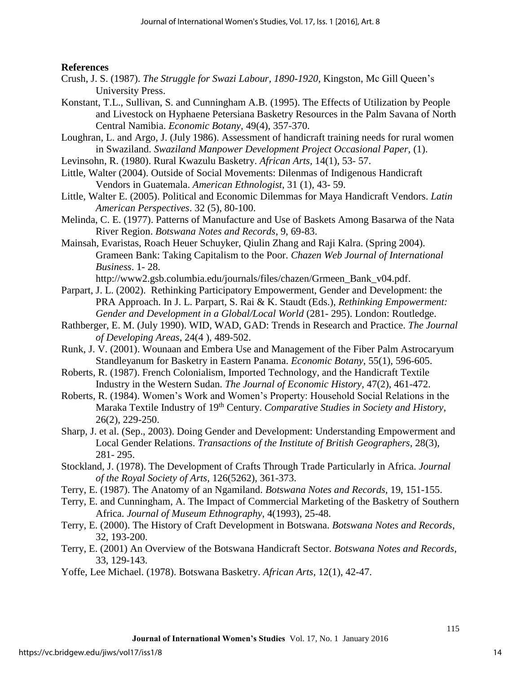### **References**

- Crush, J. S. (1987). *The Struggle for Swazi Labour, 1890-1920*, Kingston, Mc Gill Queen's University Press.
- Konstant, T.L., Sullivan, S. and Cunningham A.B. (1995). The Effects of Utilization by People and Livestock on Hyphaene Petersiana Basketry Resources in the Palm Savana of North Central Namibia. *Economic Botany,* 49(4), 357-370.
- Loughran, L. and Argo, J. (July 1986). Assessment of handicraft training needs for rural women in Swaziland. *Swaziland Manpower Development Project Occasional Paper,* (1).
- Levinsohn, R. (1980). Rural Kwazulu Basketry. *African Arts,* 14(1), 53- 57.
- Little, Walter (2004). Outside of Social Movements: Dilenmas of Indigenous Handicraft Vendors in Guatemala. *American Ethnologist*, 31 (1), 43- 59.
- Little, Walter E. (2005). Political and Economic Dilemmas for Maya Handicraft Vendors. *Latin American Perspectives*. 32 (5), 80-100.
- Melinda, C. E. (1977). Patterns of Manufacture and Use of Baskets Among Basarwa of the Nata River Region. *Botswana Notes and Records*, 9, 69-83.
- Mainsah, Evaristas, Roach Heuer Schuyker, Qiulin Zhang and Raji Kalra. (Spring 2004). Grameen Bank: Taking Capitalism to the Poor. *Chazen Web Journal of International Business*. 1- 28.

http://www2.gsb.columbia.edu/journals/files/chazen/Grmeen\_Bank\_v04.pdf.

- Parpart, J. L. (2002). Rethinking Participatory Empowerment, Gender and Development: the PRA Approach. In J. L. Parpart, S. Rai & K. Staudt (Eds.), *Rethinking Empowerment: Gender and Development in a Global/Local World* (281- 295). London: Routledge.
- Rathberger, E. M. (July 1990). WID, WAD, GAD: Trends in Research and Practice. *The Journal of Developing Areas*, 24(4 ), 489-502.
- Runk, J. V. (2001). Wounaan and Embera Use and Management of the Fiber Palm Astrocaryum Standleyanum for Basketry in Eastern Panama. *Economic Botany*, 55(1), 596-605.
- Roberts, R. (1987). French Colonialism, Imported Technology, and the Handicraft Textile Industry in the Western Sudan. *The Journal of Economic History*, 47(2), 461-472.
- Roberts, R. (1984). Women's Work and Women's Property: Household Social Relations in the Maraka Textile Industry of 19th Century. *Comparative Studies in Society and History*, 26(2), 229-250.
- Sharp, J. et al. (Sep., 2003). Doing Gender and Development: Understanding Empowerment and Local Gender Relations. *Transactions of the Institute of British Geographers*, 28(3), 281- 295.
- Stockland, J. (1978). The Development of Crafts Through Trade Particularly in Africa. *Journal of the Royal Society of Arts*, 126(5262), 361-373.
- Terry, E. (1987). The Anatomy of an Ngamiland. *Botswana Notes and Records,* 19, 151-155.
- Terry, E. and Cunningham, A. The Impact of Commercial Marketing of the Basketry of Southern Africa. *Journal of Museum Ethnography*, 4(1993), 25-48.
- Terry, E. (2000). The History of Craft Development in Botswana. *Botswana Notes and Records*, 32, 193-200.
- Terry, E. (2001) An Overview of the Botswana Handicraft Sector. *Botswana Notes and Records*, 33, 129-143.
- Yoffe, Lee Michael. (1978). Botswana Basketry. *African Arts*, 12(1), 42-47.